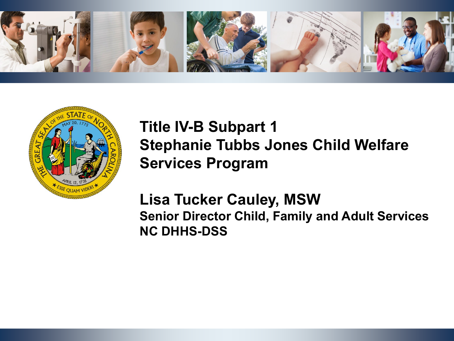



## **Title IV-B Subpart 1 Stephanie Tubbs Jones Child Welfare Services Program**

**Lisa Tucker Cauley, MSW Senior Director Child, Family and Adult Services NC DHHS-DSS**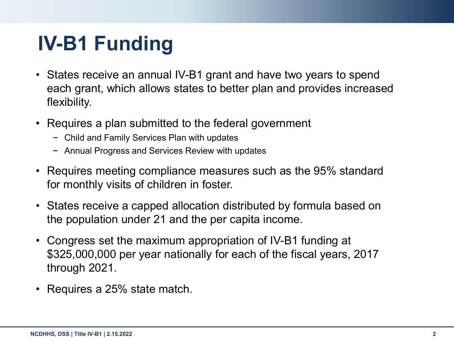## **IV-B1 Funding**

- States receive an annual IV-B1 grant and have two years to spend each grant, which allows states to better plan and provides increased flexibility.
- Requires a plan submitted to the federal government
	- − Child and Family Services Plan with updates
	- − Annual Progress and Services Review with updates
- Requires meeting compliance measures such as the 95% standard for monthly visits of children in foster.
- States receive a capped allocation distributed by formula based on the population under 21 and the per capita income.
- Congress set the maximum appropriation of IV-B1 funding at \$325,000,000 per year nationally for each of the fiscal years, 2017 through 2021.
- Requires a 25% state match.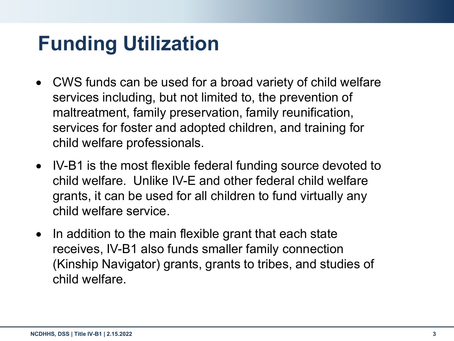## **Funding Utilization**

- CWS funds can be used for a broad variety of child welfare services including, but not limited to, the prevention of maltreatment, family preservation, family reunification, services for foster and adopted children, and training for child welfare professionals.
- IV-B1 is the most flexible federal funding source devoted to child welfare. Unlike IV-E and other federal child welfare grants, it can be used for all children to fund virtually any child welfare service.
- In addition to the main flexible grant that each state receives, IV-B1 also funds smaller family connection (Kinship Navigator) grants, grants to tribes, and studies of child welfare.